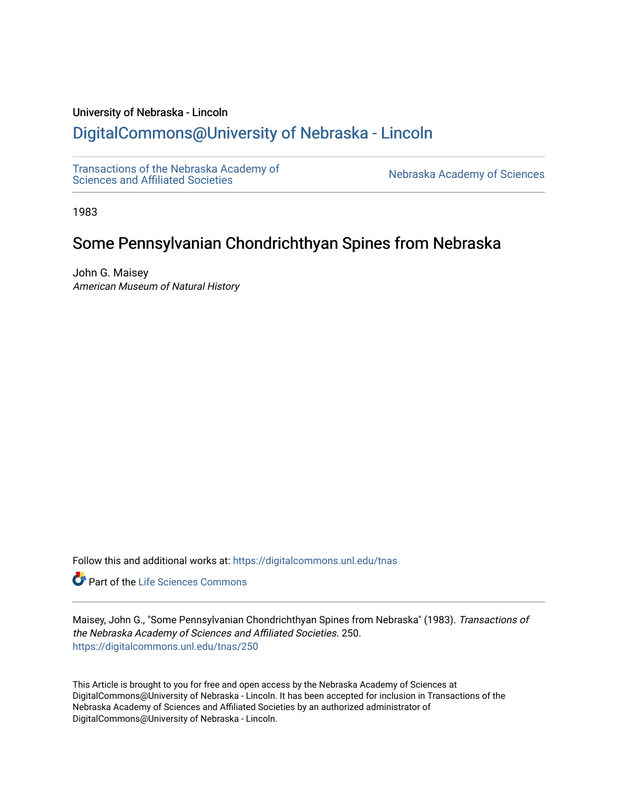# University of Nebraska - Lincoln

# [DigitalCommons@University of Nebraska - Lincoln](https://digitalcommons.unl.edu/)

[Transactions of the Nebraska Academy of](https://digitalcommons.unl.edu/tnas)  Transactions of the Nebraska Academy of Sciences<br>Sciences and Affiliated Societies

1983

# Some Pennsylvanian Chondrichthyan Spines from Nebraska

John G. Maisey American Museum of Natural History

Follow this and additional works at: [https://digitalcommons.unl.edu/tnas](https://digitalcommons.unl.edu/tnas?utm_source=digitalcommons.unl.edu%2Ftnas%2F250&utm_medium=PDF&utm_campaign=PDFCoverPages) 

**Part of the Life Sciences Commons** 

Maisey, John G., "Some Pennsylvanian Chondrichthyan Spines from Nebraska" (1983). Transactions of the Nebraska Academy of Sciences and Affiliated Societies. 250. [https://digitalcommons.unl.edu/tnas/250](https://digitalcommons.unl.edu/tnas/250?utm_source=digitalcommons.unl.edu%2Ftnas%2F250&utm_medium=PDF&utm_campaign=PDFCoverPages) 

This Article is brought to you for free and open access by the Nebraska Academy of Sciences at DigitalCommons@University of Nebraska - Lincoln. It has been accepted for inclusion in Transactions of the Nebraska Academy of Sciences and Affiliated Societies by an authorized administrator of DigitalCommons@University of Nebraska - Lincoln.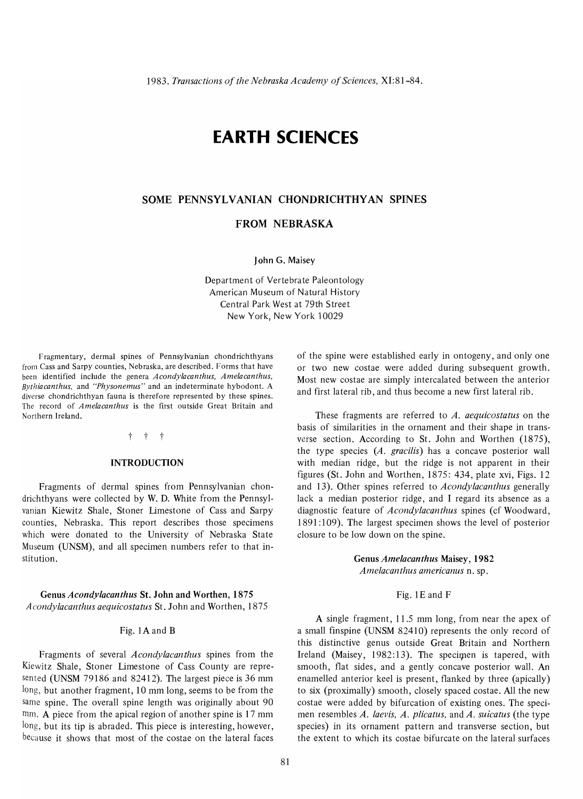# **EARTH SCIENCES**

# SOME PENNSYLVANIAN CHONDRICHTHYAN SPINES

# FROM NEBRASKA

John G. Maisey

Department of Vertebrate Paleontology American Museum of Natural History Central Park West at 79th Street New York, New York 10029

Fragmentary, dermal spines of Pennsylvanian chondrichthyans from Cass and Sarpy counties, Nebraska, are described. Forms that have been identified include the genera *Acondylacanthus, Amelacanthus*, *Bythiacanthus,* and *"Physonemus"* and an indeterminate hybodont. A diverse chondrichthyan fauna is therefore represented by these spines. The record of *Amekzcanthus* is the first outside Great Britain and Northern Ireland.

#### t t t

#### INTRODUCTION

Fragments of dermal spines from Pennsylvanian chondrichthyans were collected by W. D. White from the Pennsylvanian Kiewitz Shale, Stoner Limestone of Cass and Sarpy counties, Nebraska. This report describes those specimens which were donated to the University of Nebraska State Museum (UNSM), and all specimen numbers refer to that institution.

Genus *Acondylacanthus* St. John and Worthen, 1875 *Acondylacanthus aequicostatus* St. John and Worthen, 1875

#### Fig. 1A and B

Fragments of several *Acondylacanthus* spines from the Kiewitz Shale, Stoner Limestone of Cass County are represented (UNSM 79186 and 82412). The largest piece is 36 mm long, but another fragment, 10 mm long, seems to be from the same spine. The overall spine length was originally about 90 mm. A piece from the apical region of another spine is 17 mm long, but its tip is abraded. This piece is interesting, however, because it shows that most of the costae on the lateral faces

of the spine were established early in ontogeny, and only one or two new costae were added during subsequent growth. Most new costae are simply intercalated between the anterior and first lateral rib, and thus become a new first lateral rib.

These fragments are referred to *A. aequicostatus* on the basis of similarities in the ornament and their shape in transverse section. According to St. John and Worthen (1875), the type species *(A. gracilis)* has a concave posterior wall with median ridge, but the ridge is not apparent in their figures (St. John and Worthen, 1875: 434, plate xvi, Figs. 12 and 13). Other spines referred to *Acondylacanthus* generally lack a median posterior ridge, and I regard its absence as a diagnostic feature of *Acondylacanthus* spines (cf Woodward, 1891:109). The largest specimen shows the level of posterior closure to be low down on the spine.

> Genus *Amelacanthus* Maisey, 1982 *Amelacanthus americanus* n. sp.

### Fig. IE and F

A single fragment, 11.5 mm long, from near the apex of a small finspine (UNSM 82410) represents the only record of this distinctive genus outside Great Britain and Northern Ireland (Maisey, 1982:13). The specimen is tapered, with smooth, flat sides, and a gently concave posterior wall. An enamelled anterior keel is present, flanked by three (apically) to six (proximally) smooth, closely spaced costae. All the new costae were added by bifurcation of existing ones. The specimen resembles *A. laevis, A. plicatus,* andA. *sulcatus* (the type species) in its ornament pattern and transverse section, but the extent to which its costae bifurcate on the lateral surfaces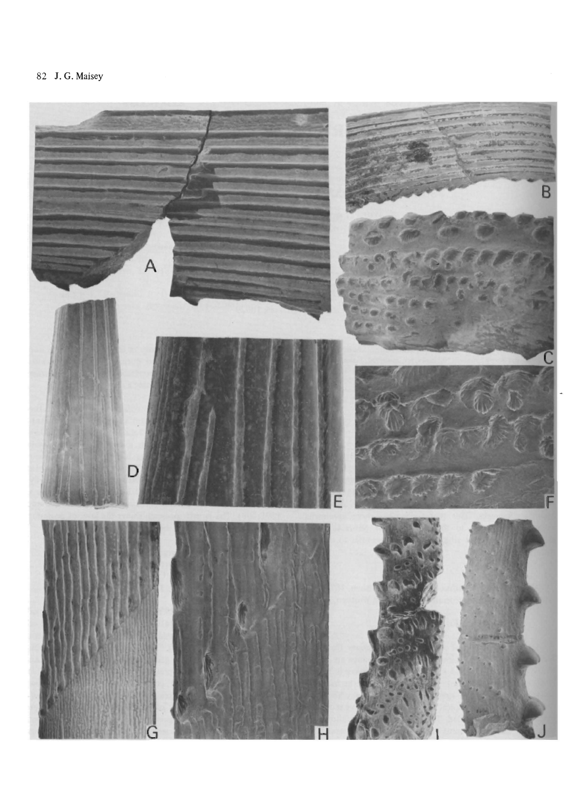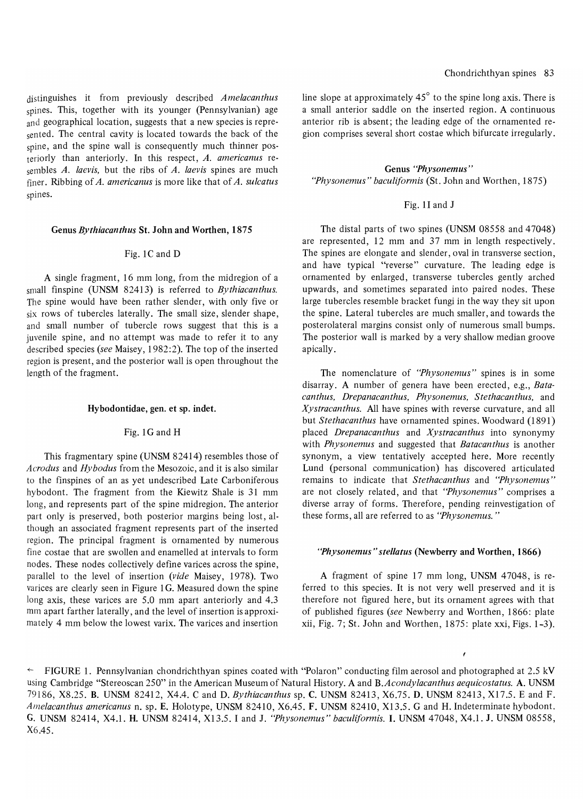distinguishes it from previously described *Amelacanthus*  spines. This, together with its younger (Pennsylvanian) age and geographical location, suggests that a new species is represented. The central cavity is located towards the back of the spine, and the spine wall is consequently much thinner posteriorly than anteriorly. In this respect, *A. americanus* resembles *A. laevis,* but the ribs of *A. laevis* spines are much finer. Ribbing of *A. americanus* is more like that of *A. sulcatus*  spines.

### Genus By thiacan thus St. John and Worthen, 1875

### Fig. lC and D

A single fragment, 16 mm long, from the midregion of a small finspine (UNSM 82413) is referred to *By thiacan thus*. The spine would have been rather slender, with only five or six rows of tubercles laterally. The small size, slender shape, and small number of tubercle rows suggest that this is a juvenile spine, and no attempt was made to refer it to any described species *(see* Maisey, 1982:2). The top of the inserted region is present, and the posterior wall is open throughout the length of the fragment.

#### Hybodontidae, gen. et sp. indet.

#### Fig. IG and H

This fragmentary spine (UNSM 82414) resembles those of *Acrodus* and *Hybodus* from the Mesozoic, and it is also similar to the finspines of an as yet undescribed Late Carboniferous hybodont. The fragment from the Kiewitz Shale is 31 mm long, and represents part of the spine midregion. The anterior part only is preserved, both posterior margins being lost, although an associated fragment represents part of the inserted region. The principal fragment is ornamented by numerous fine costae that are swollen and enamelled at intervals to form nodes. These nodes collectively define varices across the spine, parallel to the level of insertion *(vide* Maisey, 1978). Two varices are clearly seen in Figure 1 G. Measured down the spine long axis, these varices are 5.0 mm apart anteriorly and 4.3 mm apart farther laterally, and the level of insertion is approximately 4 mm below the lowest varix. The varices and insertion line slope at approximately 45° to the spine long axis. There is a small anterior saddle on the inserted region. A continuous anterior rib is absent; the leading edge of the ornamented region comprises several short costae which bifurcate irregularly.

# Genus *"Physonemus" "Physonemus" baculiformis* (St. John and Worthen, 1875)

#### Fig. 11 and J

The distal parts of two spines (UNSM 08558 and 47048) are represented, 12 mm and 37 mm in length respectively. The spines are elongate and slender, oval in transverse section, and have typical "reverse" curvature. The leading edge is ornamented by enlarged, transverse tubercles gently arched upwards, and sometimes separated into paired nodes. These large tubercles resemble bracket fungi in the way they sit upon the spine. Lateral tubercles are much smaller, and towards the posterolateral margins consist only of numerous small bumps. The posterior wall is marked by a very shallow median groove apically.

The nomenclature of "Physonemus" spines is in some disarray. A number of genera have been erected, e.g., *Batacanthus, Drepanacanthus, Physonemus, Stethacanthus,* and *Xystracanthus.* All have spines with reverse curvature, and all but *Stethacanthus* have ornamented spines. Woodward (1891) placed *Drepanacanthus* and *Xystracanthus* into synonymy with *Physonemus* and suggested that *Batacanthus* is another synonym, a view tentatively accepted here. More recently Lund (personal communication) has discovered articulated remains to indicate that *Stethacanthus* and *"Physonemus"*  are not closely related, and that *"Physonemus"* comprises a diverse array of forms. Therefore, pending reinvestigation of these forms, all are referred to as *"Physonemus. "* 

# *"Physonemus" stellatus* (Newberry and Worthen, 1866)

A fragment of spine 17 mm long, UNSM 47048, is referred to this species. It is not very well preserved and it is therefore not figured here, but its ornament agrees with that of published figures *(see* Newberry and Worthen, 1866: plate xii, Fig. 7; St. John and Worthen, 1875: plate xxi, Figs. 1-3).

 $\leftarrow$  FIGURE 1. Pennsylvanian chondrichthyan spines coated with "Polaron" conducting film aerosol and photographed at 2.5 kV using Cambridge "Stereoscan 250" in the American Museum of Natural History. A and *B.Acondylacanthus aequicostatus.* A. UNSM 79186, X8.25. B. UNSM 82412, X4.4. C and D. *Bythiacanthus* sp. C. UNSM 82413, X6.75. D. UNSM 82413, X17.5. E and F. *Amelacanthus americanus* n. sp. E. Holotype, UNSM 82410, X6.45. F. UNSM 82410, XI3.5. G and H. Indeterminate hybodont. G. UNSM 82414, X4.1. H. UNSM 82414, XI3.5. I and J. *''Physonemus'' baculiformis.* I. UNSM 47048, X4.1. J. UNSM 08558, X6.45.